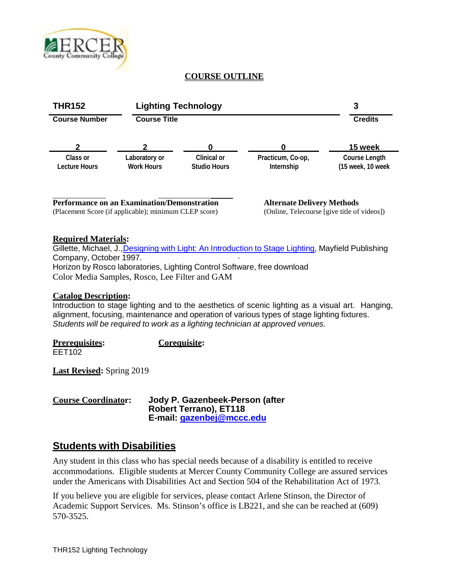

# **COURSE OUTLINE**



# **Required Materials:**

Gillette, Michael, J.,Designing with Light: An [Introduction](http://service.bfast.com/bfast/click?bfmid=2181&sourceid=1284695&bfpid=1559345276&bfmtype=book) to Stage Lighting, Mayfield Publishing Company, October 1997. Horizon by Rosco laboratories, Lighting Control Software, free download Color Media Samples, Rosco, Lee Filter and GAM

# **Catalog Description:**

Introduction to stage lighting and to the aesthetics of scenic lighting as a visual art. Hanging, alignment, focusing, maintenance and operation of various types of stage lighting fixtures. *Students will be required to work as a lighting technician at approved venues.*

**Prerequisites: Corequisite:** EET<sub>102</sub>

**Last Revised:** Spring 2019

| <b>Course Coordinator:</b> | Jody P. Gazenbeek-Person (after |
|----------------------------|---------------------------------|
|                            | <b>Robert Terrano), ET118</b>   |
|                            | E-mail: gazenbej@mccc.edu       |

# **Students with Disabilities**

Any student in this class who has special needs because of a disability is entitled to receive accommodations. Eligible students at Mercer County Community College are assured services under the Americans with Disabilities Act and Section 504 of the Rehabilitation Act of 1973.

If you believe you are eligible for services, please contact Arlene Stinson, the Director of Academic Support Services. Ms. Stinson's office is LB221, and she can be reached at (609) 570-3525.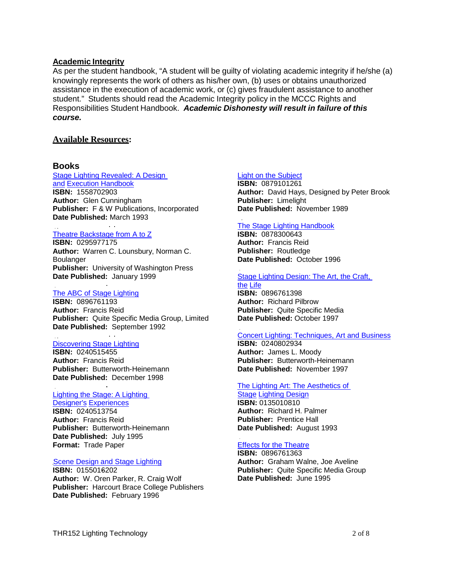#### **Academic Integrity**

As per the student handbook, "A student will be guilty of violating academic integrity if he/she (a) knowingly represents the work of others as his/her own, (b) uses or obtains unauthorized assistance in the execution of academic work, or (c) gives fraudulent assistance to another student." Students should read the Academic Integrity policy in the MCCC Rights and Responsibilities Student Handbook. *Academic Dishonesty will result in failure of this course.*

#### **Available Resources:**

#### **Books**

Stage Lighting [Revealed: A](http://service.bfast.com/bfast/click?bfmid=2181&sourceid=1284695&bfpid=1558702903&bfmtype=book) Design [and](http://service.bfast.com/bfast/click?bfmid=2181&sourceid=1284695&bfpid=1558702903&bfmtype=book) Execution [Handbook](http://service.bfast.com/bfast/click?bfmid=2181&sourceid=1284695&bfpid=1558702903&bfmtype=book) **ISBN:** 1558702903 **Author:** Glen Cunningham **Publisher:** F & W Publications, Incorporated **Date Published:** March 1993

#### Theatre [Backstage](http://service.bfast.com/bfast/click?bfmid=2181&sourceid=1284695&bfpid=0295977175&bfmtype=book) from A to Z

**ISBN:** 0295977175 **Author:** Warren C. Lounsbury, Norman C. **Boulanger Publisher:** University of Washington Press **Date Published:** January 1999

#### [The ABC](http://service.bfast.com/bfast/click?bfmid=2181&sourceid=1284695&bfpid=0896761193&bfmtype=book) of Stage Lighting

**ISBN:** 0896761193 **Author:** Francis Reid **Publisher:** Quite Specific Media Group, Limited **Date Published:** September 1992

#### [Discovering](http://service.bfast.com/bfast/click?bfmid=2181&sourceid=1284695&bfpid=0240515455&bfmtype=book) Stage Lighting

**ISBN:** 0240515455 **Author:** Francis Reid **Publisher:** Butterworth-Heinemann **Date Published:** December 1998

#### [Lighting the Stage: A](http://service.bfast.com/bfast/click?bfmid=2181&sourceid=1284695&bfpid=0240513754&bfmtype=book) Lighting

[Designer's](http://service.bfast.com/bfast/click?bfmid=2181&sourceid=1284695&bfpid=0240513754&bfmtype=book) [Experiences](http://service.bfast.com/bfast/click?bfmid=2181&sourceid=1284695&bfpid=0240513754&bfmtype=book) **ISBN:** 0240513754 **Author:** Francis Reid **Publisher:** Butterworth-Heinemann **Date Published:** July 1995 **Format:** Trade Paper

#### Scene Design and Stage Lighting

**ISBN:** [0155016202](http://service.bfast.com/bfast/click?bfmid=2181&sourceid=1284695&bfpid=0155016202&bfmtype=book) **Author:** W. [Oren Parker,](http://service.bfast.com/bfast/click?bfmid=2181&sourceid=1284695&bfpid=0155016202&bfmtype=book) R. Craig Wolf **[Publisher:](http://service.bfast.com/bfast/click?bfmid=2181&sourceid=1284695&bfpid=0155016202&bfmtype=book)** Harcourt Brace College Publishers **Date [Published:](http://service.bfast.com/bfast/click?bfmid=2181&sourceid=1284695&bfpid=0155016202&bfmtype=book)** February 1996

#### Light on the [Subject](http://service.bfast.com/bfast/click?bfmid=2181&sourceid=1284695&bfpid=0879101261&bfmtype=book)

**ISBN:** 0879101261 **Author:** David Hays, Designed by Peter Brook **Publisher:** Limelight **Date Published:** November 1989

### The [Stage Lighting](http://service.bfast.com/bfast/click?bfmid=2181&sourceid=1284695&bfpid=0878300643&bfmtype=book) Handbook

**ISBN:** 0878300643 **Author:** Francis Reid **Publisher:** Routledge **Date Published:** October 1996

#### Stage [Lighting Design: The](http://service.bfast.com/bfast/click?bfmid=2181&sourceid=1284695&bfpid=0896761398&bfmtype=book) Art, the Craft, [the](http://service.bfast.com/bfast/click?bfmid=2181&sourceid=1284695&bfpid=0896761398&bfmtype=book) [Life](http://service.bfast.com/bfast/click?bfmid=2181&sourceid=1284695&bfpid=0896761398&bfmtype=book)

**ISBN:** 0896761398 **Author:** Richard Pilbrow **Publisher:** Quite Specific Media **Date Published:** October 1997

#### Concert [Lighting: Techniques, Art](http://service.bfast.com/bfast/click?bfmid=2181&sourceid=1284695&bfpid=0240802934&bfmtype=book) and Business

**ISBN:** 0240802934 **Author:** James L. Moody **Publisher:** Butterworth-Heinemann **Date Published:** November 1997

#### The Lighting Art: [The Aesthetics](http://service.bfast.com/bfast/click?bfmid=2181&sourceid=1284695&bfpid=0135010810&bfmtype=book) of

[Stage](http://service.bfast.com/bfast/click?bfmid=2181&sourceid=1284695&bfpid=0135010810&bfmtype=book) [Lighting](http://service.bfast.com/bfast/click?bfmid=2181&sourceid=1284695&bfpid=0135010810&bfmtype=book) Design **ISBN:** 0135010810 **Author:** Richard H. Palmer **Publisher:** Prentice Hall **Date Published:** August 1993

# Effects [for the Theatre](http://service.bfast.com/bfast/click?bfmid=2181&sourceid=1284695&bfpid=0896761363&bfmtype=book)

**ISBN:** 0896761363 **Author:** Graham Walne, Joe Aveline **Publisher:** Quite Specific Media Group **Date Published:** June 1995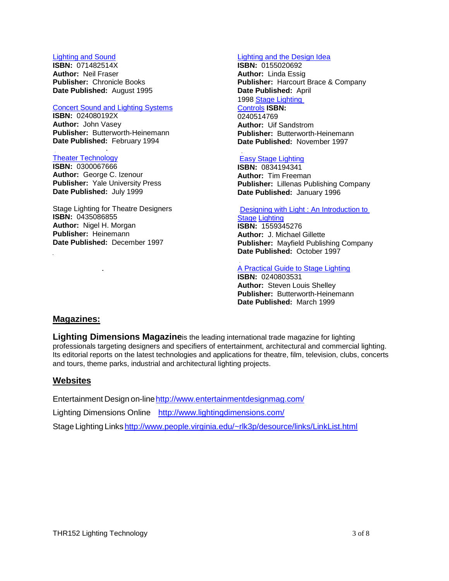### Lighting and Sound

**ISBN:** [071482514X](http://service.bfast.com/bfast/click?bfmid=2181&sourceid=1284695&bfpid=071482514X&bfmtype=book) **[Author:](http://service.bfast.com/bfast/click?bfmid=2181&sourceid=1284695&bfpid=071482514X&bfmtype=book)** Neil Fraser **[Publisher:](http://service.bfast.com/bfast/click?bfmid=2181&sourceid=1284695&bfpid=071482514X&bfmtype=book)** Chronicle Books **Date [Published:](http://service.bfast.com/bfast/click?bfmid=2181&sourceid=1284695&bfpid=071482514X&bfmtype=book)** August 1995

#### Concert Sound [and Lighting](http://service.bfast.com/bfast/click?bfmid=2181&sourceid=1284695&bfpid=024080192X&bfmtype=book) Systems

**ISBN:** 024080192X

**Author:** John Vasey **Publisher:** Butterworth-Heinemann **Date Published:** February 1994

### [Theater Technology](http://service.bfast.com/bfast/click?bfmid=2181&sourceid=1284695&bfpid=0300067666&bfmtype=book)

**ISBN:** 0300067666 **Author:** George C. Izenour **Publisher:** Yale University Press **Date Published:** July 1999

Stage Lighting for Theatre Designers **ISBN:** 0435086855 **Author:** Nigel H. Morgan **Publisher:** Heinemann **Date Published:** December 1997

#### [Lighting](http://service.bfast.com/bfast/click?bfmid=2181&sourceid=1284695&bfpid=0155020692&bfmtype=book) and the Design Idea

**ISBN:** 0155020692 **Author:** Linda Essig **Publisher:** Harcourt Brace & Company **[Da](http://service.bfast.com/bfast/click?bfmid=2181&sourceid=1284695&bfpid=0240514769&bfmtype=book)te Published:** April 1998 Stage [Lighting](http://service.bfast.com/bfast/click?bfmid=2181&sourceid=1284695&bfpid=0240514769&bfmtype=book) [Controls](http://service.bfast.com/bfast/click?bfmid=2181&sourceid=1284695&bfpid=0240514769&bfmtype=book) **ISBN:** 0240514769 **Author:** Uif Sandstrom **Publisher:** Butterworth-Heinemann **Date Published:** November 1997

#### [Easy Stage](http://service.bfast.com/bfast/click?bfmid=2181&sourceid=1284695&bfpid=0834194341&bfmtype=book) Lighting

**ISBN:** 0834194341 **Author:** Tim Freeman **Publisher:** Lillenas Publishing Company **Date Published:** January 1996

# Designing with Light : [An Introduction to](http://service.bfast.com/bfast/click?bfmid=2181&sourceid=1284695&bfpid=1559345276&bfmtype=book)

**[Stage](http://service.bfast.com/bfast/click?bfmid=2181&sourceid=1284695&bfpid=1559345276&bfmtype=book) [Lighting](http://service.bfast.com/bfast/click?bfmid=2181&sourceid=1284695&bfpid=1559345276&bfmtype=book) ISBN:** 1559345276 **Author:** J. Michael Gillette **Publisher:** Mayfield Publishing Company **Date Published:** October 1997

#### A Practical [Guide to Stage Lighting](http://service.bfast.com/bfast/click?bfmid=2181&sourceid=1284695&bfpid=0240803531&bfmtype=book)

**ISBN:** 0240803531 **Author:** Steven Louis Shelley **Publisher:** Butterworth-Heinemann **Date Published:** March 1999

# **Magazines:**

**Lighting Dimensions Magazine**is the leading international trade magazine for lighting professionals targeting designers and specifiers of entertainment, architectural and commercial lighting. Its editorial reports on the latest technologies and applications for theatre, film, television, clubs, concerts and tours, theme parks, industrial and architectural lighting projects.

# **Websites**

Entertainment Design on-line http://www.entertainmentdesignmag.com/ Lighting Dimensions Online <http://www.lightingdimensions.com/> Stage Lighting Links <http://www.people.virginia.edu/~rlk3p/desource/links/LinkList.html>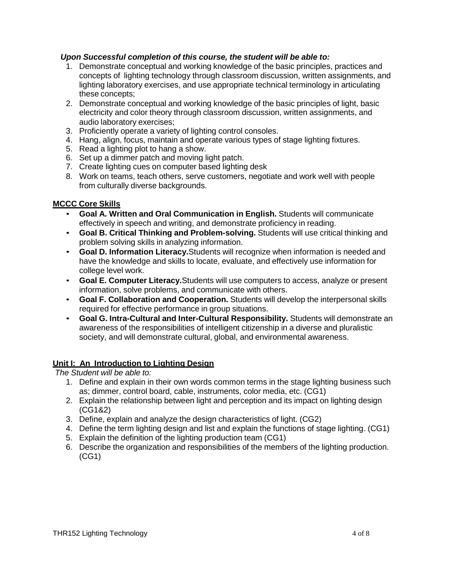# *Upon Successful completion of this course, the student will be able to:*

- 1. Demonstrate conceptual and working knowledge of the basic principles, practices and concepts of lighting technology through classroom discussion, written assignments, and lighting laboratory exercises, and use appropriate technical terminology in articulating these concepts;
- 2. Demonstrate conceptual and working knowledge of the basic principles of light, basic electricity and color theory through classroom discussion, written assignments, and audio laboratory exercises;
- 3. Proficiently operate a variety of lighting control consoles.
- 4. Hang, align, focus, maintain and operate various types of stage lighting fixtures.
- 5. Read a lighting plot to hang a show.
- 6. Set up a dimmer patch and moving light patch.
- 7. Create lighting cues on computer based lighting desk
- 8. Work on teams, teach others, serve customers, negotiate and work well with people from culturally diverse backgrounds.

# **MCCC Core Skills**

- **Goal A. Written and Oral Communication in English.** Students will communicate effectively in speech and writing, and demonstrate proficiency in reading.
- **Goal B. Critical Thinking and Problem-solving.** Students will use critical thinking and problem solving skills in analyzing information.
- **Goal D. Information Literacy.**Students will recognize when information is needed and have the knowledge and skills to locate, evaluate, and effectively use information for college level work.
- **Goal E. Computer Literacy.**Students will use computers to access, analyze or present information, solve problems, and communicate with others.
- **Goal F. Collaboration and Cooperation.** Students will develop the interpersonal skills required for effective performance in group situations.
- **Goal G. Intra-Cultural and Inter-Cultural Responsibility.** Students will demonstrate an awareness of the responsibilities of intelligent citizenship in a diverse and pluralistic society, and will demonstrate cultural, global, and environmental awareness.

# **Unit I: An Introduction to Lighting Design**

*The Student will be able to:*

- 1. Define and explain in their own words common terms in the stage lighting business such as; dimmer, control board, cable, instruments, color media, etc. (CG1)
- 2. Explain the relationship between light and perception and its impact on lighting design (CG1&2)
- 3. Define, explain and analyze the design characteristics of light. (CG2)
- 4. Define the term lighting design and list and explain the functions of stage lighting. (CG1)
- 5. Explain the definition of the lighting production team (CG1)
- 6. Describe the organization and responsibilities of the members of the lighting production. (CG1)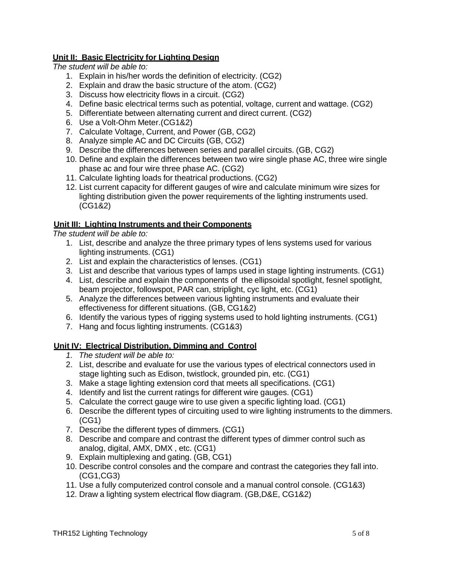# **Unit II: Basic Electricity for Lighting Design**

*The student will be able to:*

- 1. Explain in his/her words the definition of electricity. (CG2)
- 2. Explain and draw the basic structure of the atom. (CG2)
- 3. Discuss how electricity flows in a circuit. (CG2)
- 4. Define basic electrical terms such as potential, voltage, current and wattage. (CG2)
- 5. Differentiate between alternating current and direct current. (CG2)
- 6. Use a Volt-Ohm Meter.(CG1&2)
- 7. Calculate Voltage, Current, and Power (GB, CG2)
- 8. Analyze simple AC and DC Circuits (GB, CG2)
- 9. Describe the differences between series and parallel circuits. (GB, CG2)
- 10. Define and explain the differences between two wire single phase AC, three wire single phase ac and four wire three phase AC. (CG2)
- 11. Calculate lighting loads for theatrical productions. (CG2)
- 12. List current capacity for different gauges of wire and calculate minimum wire sizes for lighting distribution given the power requirements of the lighting instruments used. (CG1&2)

# **Unit III: Lighting Instruments and their Components**

*The student will be able to:*

- 1. List, describe and analyze the three primary types of lens systems used for various lighting instruments. (CG1)
- 2. List and explain the characteristics of lenses. (CG1)
- 3. List and describe that various types of lamps used in stage lighting instruments. (CG1)
- 4. List, describe and explain the components of the ellipsoidal spotlight, fesnel spotlight, beam projector, followspot, PAR can, striplight, cyc light, etc. (CG1)
- 5. Analyze the differences between various lighting instruments and evaluate their effectiveness for different situations. (GB, CG1&2)
- 6. Identify the various types of rigging systems used to hold lighting instruments. (CG1)
- 7. Hang and focus lighting instruments. (CG1&3)

# **Unit IV: Electrical Distribution, Dimming and Control**

- *1. The student will be able to:*
- 2. List, describe and evaluate for use the various types of electrical connectors used in stage lighting such as Edison, twistlock, grounded pin, etc. (CG1)
- 3. Make a stage lighting extension cord that meets all specifications. (CG1)
- 4. Identify and list the current ratings for different wire gauges. (CG1)
- 5. Calculate the correct gauge wire to use given a specific lighting load. (CG1)
- 6. Describe the different types of circuiting used to wire lighting instruments to the dimmers. (CG1)
- 7. Describe the different types of dimmers. (CG1)
- 8. Describe and compare and contrast the different types of dimmer control such as analog, digital, AMX, DMX , etc. (CG1)
- 9. Explain multiplexing and gating. (GB, CG1)
- 10. Describe control consoles and the compare and contrast the categories they fall into. (CG1,CG3)
- 11. Use a fully computerized control console and a manual control console. (CG1&3)
- 12. Draw a lighting system electrical flow diagram. (GB,D&E, CG1&2)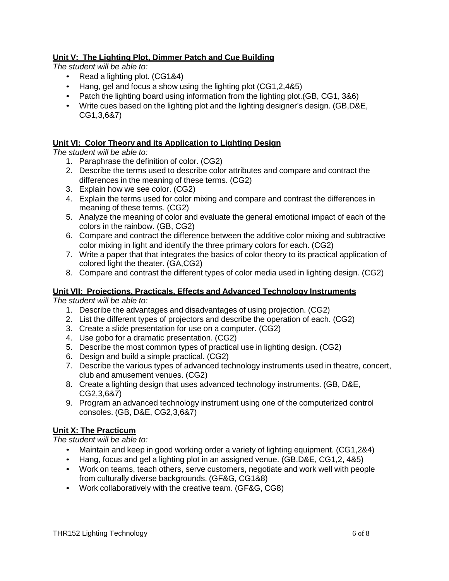# **Unit V: The Lighting Plot, Dimmer Patch and Cue Building**

*The student will be able to:*

- Read a lighting plot. (CG1&4)
- Hang, gel and focus a show using the lighting plot (CG1,2,4&5)
- Patch the lighting board using information from the lighting plot. (GB, CG1, 3&6)
- Write cues based on the lighting plot and the lighting designer's design. (GB,D&E, CG1,3,6&7)

# **Unit VI: Color Theory and its Application to Lighting Design**

*The student will be able to:*

- 1. Paraphrase the definition of color. (CG2)
- 2. Describe the terms used to describe color attributes and compare and contract the differences in the meaning of these terms. (CG2)
- 3. Explain how we see color. (CG2)
- 4. Explain the terms used for color mixing and compare and contrast the differences in meaning of these terms. (CG2)
- 5. Analyze the meaning of color and evaluate the general emotional impact of each of the colors in the rainbow. (GB, CG2)
- 6. Compare and contract the difference between the additive color mixing and subtractive color mixing in light and identify the three primary colors for each. (CG2)
- 7. Write a paper that that integrates the basics of color theory to its practical application of colored light the theater. (GA,CG2)
- 8. Compare and contrast the different types of color media used in lighting design. (CG2)

# **Unit VII: Projections, Practicals, Effects and Advanced Technology Instruments**

*The student will be able to:*

- 1. Describe the advantages and disadvantages of using projection. (CG2)
- 2. List the different types of projectors and describe the operation of each. (CG2)
- 3. Create a slide presentation for use on a computer. (CG2)
- 4. Use gobo for a dramatic presentation. (CG2)
- 5. Describe the most common types of practical use in lighting design. (CG2)
- 6. Design and build a simple practical. (CG2)
- 7. Describe the various types of advanced technology instruments used in theatre, concert, club and amusement venues. (CG2)
- 8. Create a lighting design that uses advanced technology instruments. (GB, D&E, CG2,3,6&7)
- 9. Program an advanced technology instrument using one of the computerized control consoles. (GB, D&E, CG2,3,6&7)

# **Unit X: The Practicum**

*The student will be able to:*

- Maintain and keep in good working order a variety of lighting equipment. (CG1,2&4)
- Hang, focus and gel a lighting plot in an assigned venue. (GB,D&E, CG1,2, 4&5)
- Work on teams, teach others, serve customers, negotiate and work well with people from culturally diverse backgrounds. (GF&G, CG1&8)
- Work collaboratively with the creative team. (GF&G, CG8)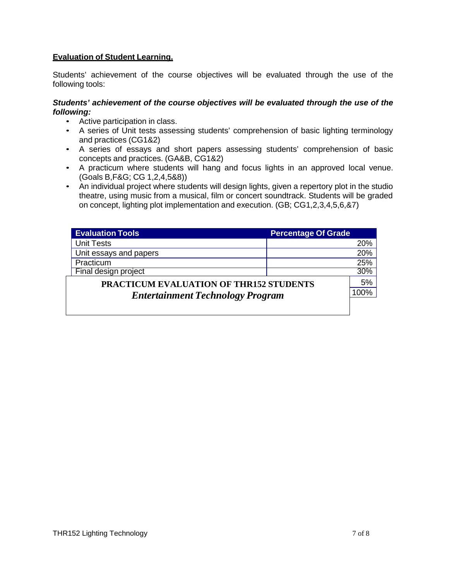# **Evaluation of Student Learning.**

Students' achievement of the course objectives will be evaluated through the use of the following tools:

# *Students' achievement of the course objectives will be evaluated through the use of the following:*

- Active participation in class.
- A series of Unit tests assessing students' comprehension of basic lighting terminology and practices (CG1&2)
- A series of essays and short papers assessing students' comprehension of basic concepts and practices. (GA&B, CG1&2)
- A practicum where students will hang and focus lights in an approved local venue. (Goals B,F&G; CG 1,2,4,5&8))
- An individual project where students will design lights, given a repertory plot in the studio theatre, using music from a musical, film or concert soundtrack. Students will be graded on concept, lighting plot implementation and execution. (GB; CG1,2,3,4,5,6,&7)

| <b>Evaluation Tools</b>                        | <b>Percentage Of Grade</b> |        |  |
|------------------------------------------------|----------------------------|--------|--|
| <b>Unit Tests</b>                              |                            | 20%    |  |
| Unit essays and papers                         |                            | 20%    |  |
| Practicum                                      |                            | 25%    |  |
| Final design project                           |                            | $30\%$ |  |
| <b>PRACTICUM EVALUATION OF THR152 STUDENTS</b> |                            |        |  |
| <b>Entertainment Technology Program</b>        |                            |        |  |